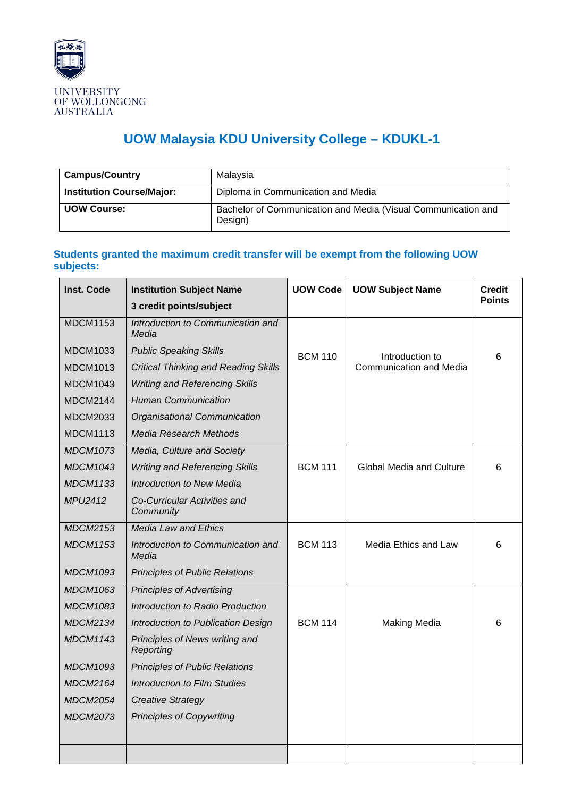

## **UOW Malaysia KDU University College – KDUKL-1**

| <b>Campus/Country</b>            | Malavsia                                                                 |
|----------------------------------|--------------------------------------------------------------------------|
| <b>Institution Course/Major:</b> | Diploma in Communication and Media                                       |
| <b>UOW Course:</b>               | Bachelor of Communication and Media (Visual Communication and<br>Design) |

## **Students granted the maximum credit transfer will be exempt from the following UOW subjects:**

| <b>Inst. Code</b> | <b>Institution Subject Name</b>             | <b>UOW Code</b> | <b>UOW Subject Name</b>         | <b>Credit</b> |
|-------------------|---------------------------------------------|-----------------|---------------------------------|---------------|
|                   | 3 credit points/subject                     |                 |                                 | <b>Points</b> |
| <b>MDCM1153</b>   | Introduction to Communication and<br>Media  |                 |                                 |               |
| <b>MDCM1033</b>   | <b>Public Speaking Skills</b>               | <b>BCM 110</b>  | Introduction to                 | 6             |
| <b>MDCM1013</b>   | <b>Critical Thinking and Reading Skills</b> |                 | Communication and Media         |               |
| <b>MDCM1043</b>   | <b>Writing and Referencing Skills</b>       |                 |                                 |               |
| <b>MDCM2144</b>   | <b>Human Communication</b>                  |                 |                                 |               |
| <b>MDCM2033</b>   | Organisational Communication                |                 |                                 |               |
| <b>MDCM1113</b>   | <b>Media Research Methods</b>               |                 |                                 |               |
| <b>MDCM1073</b>   | Media, Culture and Society                  |                 |                                 |               |
| <b>MDCM1043</b>   | <b>Writing and Referencing Skills</b>       | <b>BCM 111</b>  | <b>Global Media and Culture</b> | 6             |
| <b>MDCM1133</b>   | <b>Introduction to New Media</b>            |                 |                                 |               |
| MPU2412           | Co-Curricular Activities and<br>Community   |                 |                                 |               |
| <b>MDCM2153</b>   | <b>Media Law and Ethics</b>                 |                 |                                 |               |
| <b>MDCM1153</b>   | Introduction to Communication and<br>Media  | <b>BCM 113</b>  | Media Ethics and Law            | 6             |
| <b>MDCM1093</b>   | <b>Principles of Public Relations</b>       |                 |                                 |               |
| <b>MDCM1063</b>   | <b>Principles of Advertising</b>            |                 |                                 |               |
| <b>MDCM1083</b>   | Introduction to Radio Production            |                 |                                 |               |
| <b>MDCM2134</b>   | Introduction to Publication Design          | <b>BCM 114</b>  | <b>Making Media</b>             | 6             |
| <b>MDCM1143</b>   | Principles of News writing and<br>Reporting |                 |                                 |               |
| <b>MDCM1093</b>   | <b>Principles of Public Relations</b>       |                 |                                 |               |
| <b>MDCM2164</b>   | <b>Introduction to Film Studies</b>         |                 |                                 |               |
| <i>MDCM2054</i>   | <b>Creative Strategy</b>                    |                 |                                 |               |
| <b>MDCM2073</b>   | <b>Principles of Copywriting</b>            |                 |                                 |               |
|                   |                                             |                 |                                 |               |
|                   |                                             |                 |                                 |               |